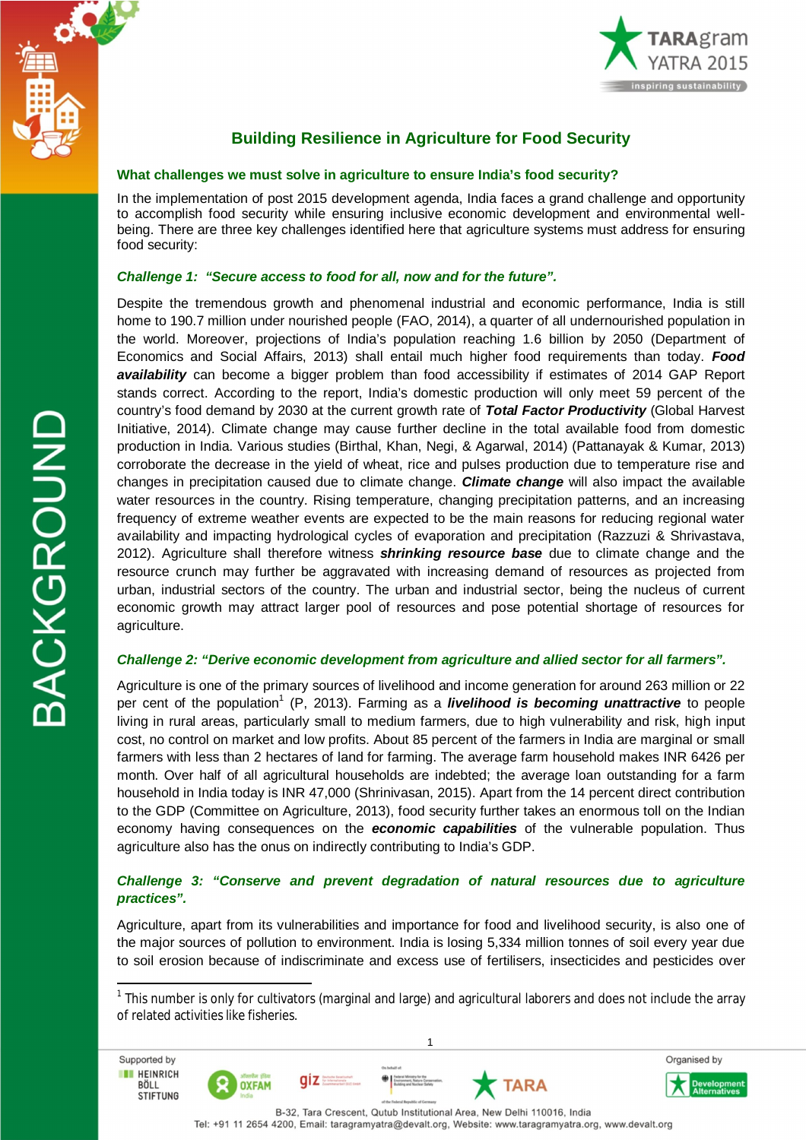



# **Building Resilience in Agriculture for Food Security**

## **What challenges we must solve in agriculture to ensure India's food security?**

In the implementation of post 2015 development agenda, India faces a grand challenge and opportunity to accomplish food security while ensuring inclusive economic development and environmental wellbeing. There are three key challenges identified here that agriculture systems must address for ensuring food security:

# *Challenge 1: "Secure access to food for all, now and for the future".*

Despite the tremendous growth and phenomenal industrial and economic performance, India is still home to 190.7 million under nourished people (FAO, 2014), a quarter of all undernourished population in the world. Moreover, projections of India's population reaching 1.6 billion by 2050 (Department of Economics and Social Affairs, 2013) shall entail much higher food requirements than today. *Food availability* can become a bigger problem than food accessibility if estimates of 2014 GAP Report stands correct. According to the report, India's domestic production will only meet 59 percent of the country's food demand by 2030 at the current growth rate of *Total Factor Productivity* (Global Harvest Initiative, 2014). Climate change may cause further decline in the total available food from domestic production in India. Various studies (Birthal, Khan, Negi, & Agarwal, 2014) (Pattanayak & Kumar, 2013) corroborate the decrease in the yield of wheat, rice and pulses production due to temperature rise and changes in precipitation caused due to climate change. *Climate change* will also impact the available water resources in the country. Rising temperature, changing precipitation patterns, and an increasing frequency of extreme weather events are expected to be the main reasons for reducing regional water availability and impacting hydrological cycles of evaporation and precipitation (Razzuzi & Shrivastava, 2012). Agriculture shall therefore witness *shrinking resource base* due to climate change and the resource crunch may further be aggravated with increasing demand of resources as projected from urban, industrial sectors of the country. The urban and industrial sector, being the nucleus of current economic growth may attract larger pool of resources and pose potential shortage of resources for agriculture.

#### *Challenge 2: "Derive economic development from agriculture and allied sector for all farmers".*

Agriculture is one of the primary sources of livelihood and income generation for around 263 million or 22 per cent of the population<sup>1</sup> (P, 2013). Farming as a *livelihood is becoming unattractive* to people living in rural areas, particularly small to medium farmers, due to high vulnerability and risk, high input cost, no control on market and low profits. About 85 percent of the farmers in India are marginal or small farmers with less than 2 hectares of land for farming. The average farm household makes INR 6426 per month. Over half of all agricultural households are indebted; the average loan outstanding for a farm household in India today is INR 47,000 (Shrinivasan, 2015). Apart from the 14 percent direct contribution to the GDP (Committee on Agriculture, 2013), food security further takes an enormous toll on the Indian economy having consequences on the *economic capabilities* of the vulnerable population. Thus agriculture also has the onus on indirectly contributing to India's GDP.

# *Challenge 3: "Conserve and prevent degradation of natural resources due to agriculture practices".*

Agriculture, apart from its vulnerabilities and importance for food and livelihood security, is also one of the major sources of pollution to environment. India is losing 5,334 million tonnes of soil every year due to soil erosion because of indiscriminate and excess use of fertilisers, insecticides and pesticides over

1

 $\bigoplus$   $\bigcup_{i=1}^{f_{\text{min}}}$ 

qiz

**OXFAM** 

**BACKGROUND** 

 $\overline{a}$ 

Supported by

**THE HEINRICH** 

**BÖLL** 

**STIFTUNG** 

TARA



<sup>&</sup>lt;sup>1</sup> This number is only for cultivators (marginal and large) and agricultural laborers and does not include the array of related activities like fisheries.